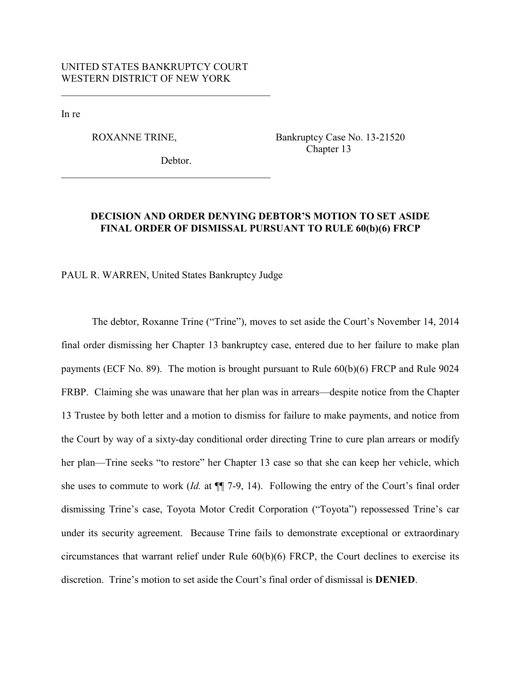$\mathcal{L}_\text{max}$  , and the set of the set of the set of the set of the set of the set of the set of the set of the set of the set of the set of the set of the set of the set of the set of the set of the set of the set of the

In re

ROXANNE TRINE, Bankruptcy Case No. 13-21520 Chapter 13

Debtor.

 $\mathcal{L}_\text{max}$  , and the set of the set of the set of the set of the set of the set of the set of the set of the set of the set of the set of the set of the set of the set of the set of the set of the set of the set of the

# **DECISION AND ORDER DENYING DEBTOR'S MOTION TO SET ASIDE FINAL ORDER OF DISMISSAL PURSUANT TO RULE 60(b)(6) FRCP**

PAUL R. WARREN, United States Bankruptcy Judge

The debtor, Roxanne Trine ("Trine"), moves to set aside the Court's November 14, 2014 final order dismissing her Chapter 13 bankruptcy case, entered due to her failure to make plan payments (ECF No. 89). The motion is brought pursuant to Rule 60(b)(6) FRCP and Rule 9024 FRBP. Claiming she was unaware that her plan was in arrears—despite notice from the Chapter 13 Trustee by both letter and a motion to dismiss for failure to make payments, and notice from the Court by way of a sixty-day conditional order directing Trine to cure plan arrears or modify her plan—Trine seeks "to restore" her Chapter 13 case so that she can keep her vehicle, which she uses to commute to work (*Id.* at ¶¶ 7-9, 14). Following the entry of the Court's final order dismissing Trine's case, Toyota Motor Credit Corporation ("Toyota") repossessed Trine's car under its security agreement. Because Trine fails to demonstrate exceptional or extraordinary circumstances that warrant relief under Rule 60(b)(6) FRCP, the Court declines to exercise its discretion. Trine's motion to set aside the Court's final order of dismissal is **DENIED**.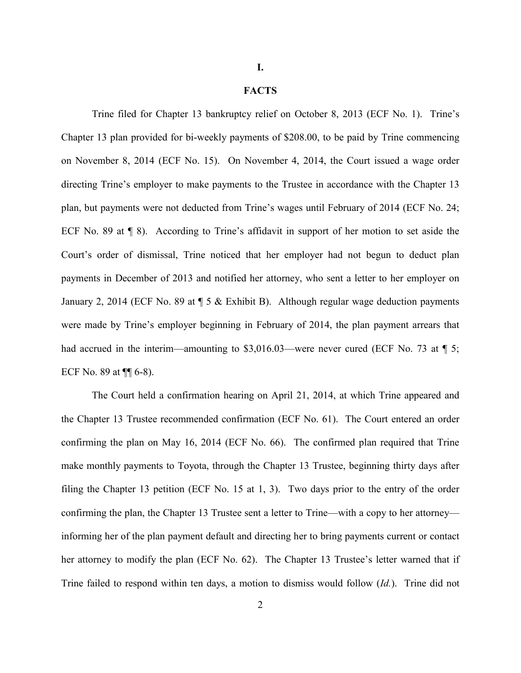**I.**

## **FACTS**

Trine filed for Chapter 13 bankruptcy relief on October 8, 2013 (ECF No. 1). Trine's Chapter 13 plan provided for bi-weekly payments of \$208.00, to be paid by Trine commencing on November 8, 2014 (ECF No. 15). On November 4, 2014, the Court issued a wage order directing Trine's employer to make payments to the Trustee in accordance with the Chapter 13 plan, but payments were not deducted from Trine's wages until February of 2014 (ECF No. 24; ECF No. 89 at ¶ 8). According to Trine's affidavit in support of her motion to set aside the Court's order of dismissal, Trine noticed that her employer had not begun to deduct plan payments in December of 2013 and notified her attorney, who sent a letter to her employer on January 2, 2014 (ECF No. 89 at ¶ 5 & Exhibit B). Although regular wage deduction payments were made by Trine's employer beginning in February of 2014, the plan payment arrears that had accrued in the interim—amounting to  $$3,016.03$ —were never cured (ECF No. 73 at  $\P$  5; ECF No. 89 at  $\P\P$  6-8).

The Court held a confirmation hearing on April 21, 2014, at which Trine appeared and the Chapter 13 Trustee recommended confirmation (ECF No. 61). The Court entered an order confirming the plan on May 16, 2014 (ECF No. 66). The confirmed plan required that Trine make monthly payments to Toyota, through the Chapter 13 Trustee, beginning thirty days after filing the Chapter 13 petition (ECF No. 15 at 1, 3). Two days prior to the entry of the order confirming the plan, the Chapter 13 Trustee sent a letter to Trine—with a copy to her attorney informing her of the plan payment default and directing her to bring payments current or contact her attorney to modify the plan (ECF No. 62). The Chapter 13 Trustee's letter warned that if Trine failed to respond within ten days, a motion to dismiss would follow (*Id.*). Trine did not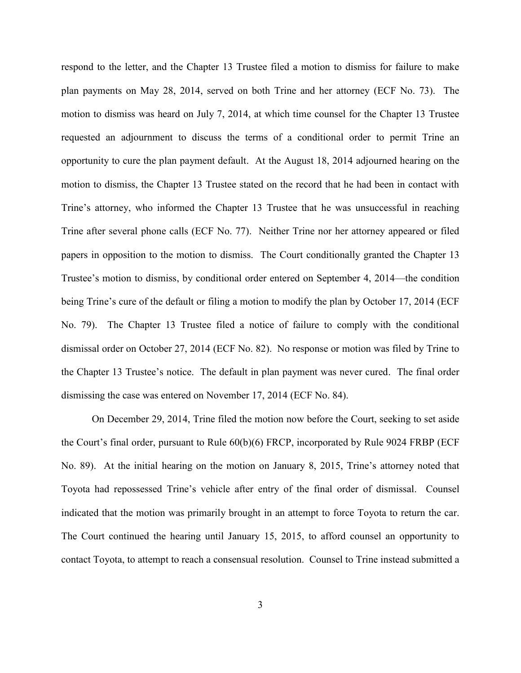respond to the letter, and the Chapter 13 Trustee filed a motion to dismiss for failure to make plan payments on May 28, 2014, served on both Trine and her attorney (ECF No. 73). The motion to dismiss was heard on July 7, 2014, at which time counsel for the Chapter 13 Trustee requested an adjournment to discuss the terms of a conditional order to permit Trine an opportunity to cure the plan payment default. At the August 18, 2014 adjourned hearing on the motion to dismiss, the Chapter 13 Trustee stated on the record that he had been in contact with Trine's attorney, who informed the Chapter 13 Trustee that he was unsuccessful in reaching Trine after several phone calls (ECF No. 77). Neither Trine nor her attorney appeared or filed papers in opposition to the motion to dismiss. The Court conditionally granted the Chapter 13 Trustee's motion to dismiss, by conditional order entered on September 4, 2014—the condition being Trine's cure of the default or filing a motion to modify the plan by October 17, 2014 (ECF No. 79). The Chapter 13 Trustee filed a notice of failure to comply with the conditional dismissal order on October 27, 2014 (ECF No. 82). No response or motion was filed by Trine to the Chapter 13 Trustee's notice. The default in plan payment was never cured. The final order dismissing the case was entered on November 17, 2014 (ECF No. 84).

On December 29, 2014, Trine filed the motion now before the Court, seeking to set aside the Court's final order, pursuant to Rule 60(b)(6) FRCP, incorporated by Rule 9024 FRBP (ECF No. 89). At the initial hearing on the motion on January 8, 2015, Trine's attorney noted that Toyota had repossessed Trine's vehicle after entry of the final order of dismissal. Counsel indicated that the motion was primarily brought in an attempt to force Toyota to return the car. The Court continued the hearing until January 15, 2015, to afford counsel an opportunity to contact Toyota, to attempt to reach a consensual resolution. Counsel to Trine instead submitted a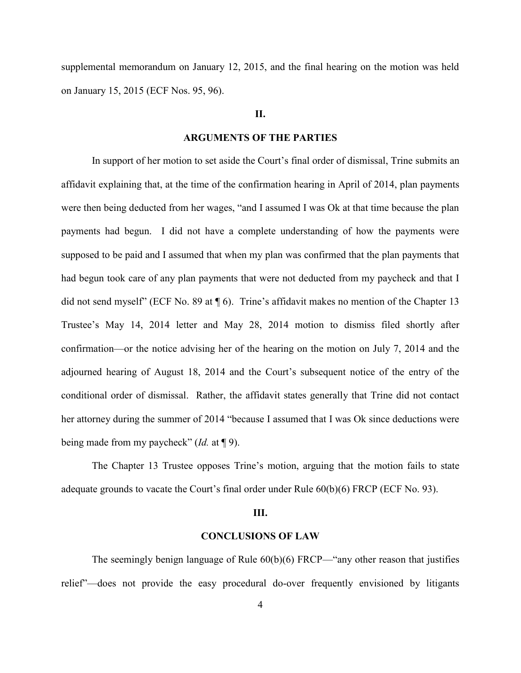supplemental memorandum on January 12, 2015, and the final hearing on the motion was held on January 15, 2015 (ECF Nos. 95, 96).

# **II.**

## **ARGUMENTS OF THE PARTIES**

In support of her motion to set aside the Court's final order of dismissal, Trine submits an affidavit explaining that, at the time of the confirmation hearing in April of 2014, plan payments were then being deducted from her wages, "and I assumed I was Ok at that time because the plan payments had begun. I did not have a complete understanding of how the payments were supposed to be paid and I assumed that when my plan was confirmed that the plan payments that had begun took care of any plan payments that were not deducted from my paycheck and that I did not send myself" (ECF No. 89 at ¶ 6). Trine's affidavit makes no mention of the Chapter 13 Trustee's May 14, 2014 letter and May 28, 2014 motion to dismiss filed shortly after confirmation—or the notice advising her of the hearing on the motion on July 7, 2014 and the adjourned hearing of August 18, 2014 and the Court's subsequent notice of the entry of the conditional order of dismissal. Rather, the affidavit states generally that Trine did not contact her attorney during the summer of 2014 "because I assumed that I was Ok since deductions were being made from my paycheck" (*Id.* at ¶ 9).

The Chapter 13 Trustee opposes Trine's motion, arguing that the motion fails to state adequate grounds to vacate the Court's final order under Rule 60(b)(6) FRCP (ECF No. 93).

#### **III.**

### **CONCLUSIONS OF LAW**

The seemingly benign language of Rule 60(b)(6) FRCP—"any other reason that justifies relief"—does not provide the easy procedural do-over frequently envisioned by litigants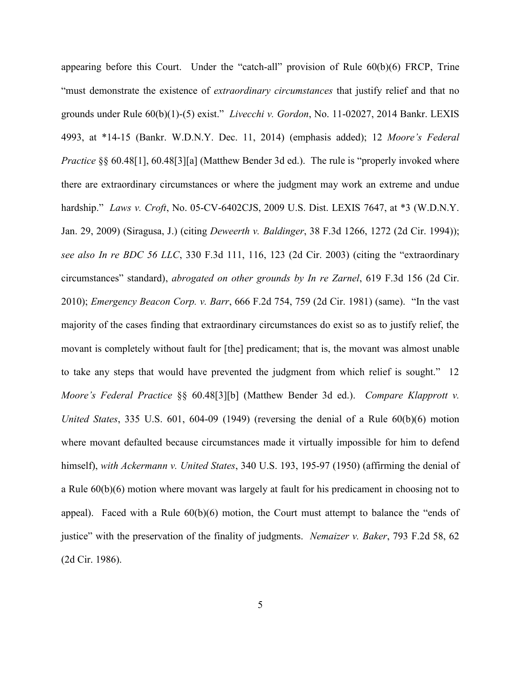appearing before this Court. Under the "catch-all" provision of Rule 60(b)(6) FRCP, Trine "must demonstrate the existence of *extraordinary circumstances* that justify relief and that no grounds under Rule 60(b)(1)-(5) exist." *Livecchi v. Gordon*, No. 11-02027, 2014 Bankr. LEXIS 4993, at \*14-15 (Bankr. W.D.N.Y. Dec. 11, 2014) (emphasis added); 12 *Moore's Federal Practice* §§ 60.48[1], 60.48[3][a] (Matthew Bender 3d ed.). The rule is "properly invoked where there are extraordinary circumstances or where the judgment may work an extreme and undue hardship." *Laws v. Croft*, No. 05-CV-6402CJS, 2009 U.S. Dist. LEXIS 7647, at \*3 (W.D.N.Y. Jan. 29, 2009) (Siragusa, J.) (citing *Deweerth v. Baldinger*, 38 F.3d 1266, 1272 (2d Cir. 1994)); *see also In re BDC 56 LLC*, 330 F.3d 111, 116, 123 (2d Cir. 2003) (citing the "extraordinary circumstances" standard), *abrogated on other grounds by In re Zarnel*, 619 F.3d 156 (2d Cir. 2010); *Emergency Beacon Corp. v. Barr*, 666 F.2d 754, 759 (2d Cir. 1981) (same). "In the vast majority of the cases finding that extraordinary circumstances do exist so as to justify relief, the movant is completely without fault for [the] predicament; that is, the movant was almost unable to take any steps that would have prevented the judgment from which relief is sought." 12 *Moore's Federal Practice* §§ 60.48[3][b] (Matthew Bender 3d ed.). *Compare Klapprott v. United States*, 335 U.S. 601, 604-09 (1949) (reversing the denial of a Rule 60(b)(6) motion where movant defaulted because circumstances made it virtually impossible for him to defend himself), *with Ackermann v. United States*, 340 U.S. 193, 195-97 (1950) (affirming the denial of a Rule 60(b)(6) motion where movant was largely at fault for his predicament in choosing not to appeal). Faced with a Rule  $60(b)(6)$  motion, the Court must attempt to balance the "ends of justice" with the preservation of the finality of judgments. *Nemaizer v. Baker*, 793 F.2d 58, 62 (2d Cir. 1986).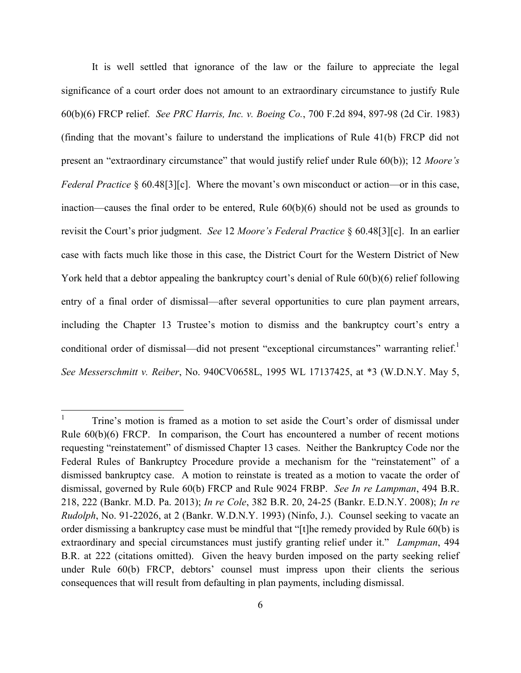It is well settled that ignorance of the law or the failure to appreciate the legal significance of a court order does not amount to an extraordinary circumstance to justify Rule 60(b)(6) FRCP relief. *See PRC Harris, Inc. v. Boeing Co.*, 700 F.2d 894, 897-98 (2d Cir. 1983) (finding that the movant's failure to understand the implications of Rule 41(b) FRCP did not present an "extraordinary circumstance" that would justify relief under Rule 60(b)); 12 *Moore's Federal Practice* § 60.48[3][c]. Where the movant's own misconduct or action—or in this case, inaction—causes the final order to be entered, Rule 60(b)(6) should not be used as grounds to revisit the Court's prior judgment. *See* 12 *Moore's Federal Practice* § 60.48[3][c]. In an earlier case with facts much like those in this case, the District Court for the Western District of New York held that a debtor appealing the bankruptcy court's denial of Rule  $60(b)(6)$  relief following entry of a final order of dismissal—after several opportunities to cure plan payment arrears, including the Chapter 13 Trustee's motion to dismiss and the bankruptcy court's entry a conditional order of dismissal—did not present "exceptional circumstances" warranting relief.<sup>1</sup> *See Messerschmitt v. Reiber*, No. 940CV0658L, 1995 WL 17137425, at \*3 (W.D.N.Y. May 5,

 $\frac{1}{1}$ Trine's motion is framed as a motion to set aside the Court's order of dismissal under Rule 60(b)(6) FRCP. In comparison, the Court has encountered a number of recent motions requesting "reinstatement" of dismissed Chapter 13 cases. Neither the Bankruptcy Code nor the Federal Rules of Bankruptcy Procedure provide a mechanism for the "reinstatement" of a dismissed bankruptcy case. A motion to reinstate is treated as a motion to vacate the order of dismissal, governed by Rule 60(b) FRCP and Rule 9024 FRBP. *See In re Lampman*, 494 B.R. 218, 222 (Bankr. M.D. Pa. 2013); *In re Cole*, 382 B.R. 20, 24-25 (Bankr. E.D.N.Y. 2008); *In re Rudolph*, No. 91-22026, at 2 (Bankr. W.D.N.Y. 1993) (Ninfo, J.). Counsel seeking to vacate an order dismissing a bankruptcy case must be mindful that "[t]he remedy provided by Rule 60(b) is extraordinary and special circumstances must justify granting relief under it." *Lampman*, 494 B.R. at 222 (citations omitted). Given the heavy burden imposed on the party seeking relief under Rule 60(b) FRCP, debtors' counsel must impress upon their clients the serious consequences that will result from defaulting in plan payments, including dismissal.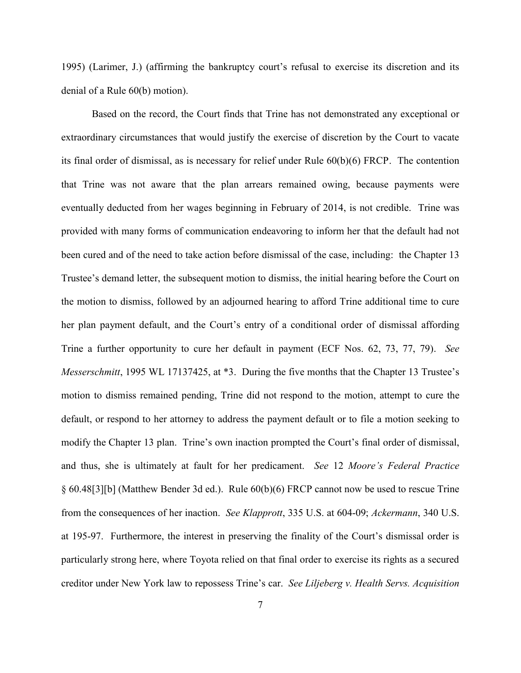1995) (Larimer, J.) (affirming the bankruptcy court's refusal to exercise its discretion and its denial of a Rule 60(b) motion).

Based on the record, the Court finds that Trine has not demonstrated any exceptional or extraordinary circumstances that would justify the exercise of discretion by the Court to vacate its final order of dismissal, as is necessary for relief under Rule 60(b)(6) FRCP. The contention that Trine was not aware that the plan arrears remained owing, because payments were eventually deducted from her wages beginning in February of 2014, is not credible. Trine was provided with many forms of communication endeavoring to inform her that the default had not been cured and of the need to take action before dismissal of the case, including: the Chapter 13 Trustee's demand letter, the subsequent motion to dismiss, the initial hearing before the Court on the motion to dismiss, followed by an adjourned hearing to afford Trine additional time to cure her plan payment default, and the Court's entry of a conditional order of dismissal affording Trine a further opportunity to cure her default in payment (ECF Nos. 62, 73, 77, 79). *See Messerschmitt*, 1995 WL 17137425, at \*3. During the five months that the Chapter 13 Trustee's motion to dismiss remained pending, Trine did not respond to the motion, attempt to cure the default, or respond to her attorney to address the payment default or to file a motion seeking to modify the Chapter 13 plan. Trine's own inaction prompted the Court's final order of dismissal, and thus, she is ultimately at fault for her predicament. *See* 12 *Moore's Federal Practice* § 60.48[3][b] (Matthew Bender 3d ed.). Rule 60(b)(6) FRCP cannot now be used to rescue Trine from the consequences of her inaction. *See Klapprott*, 335 U.S. at 604-09; *Ackermann*, 340 U.S. at 195-97. Furthermore, the interest in preserving the finality of the Court's dismissal order is particularly strong here, where Toyota relied on that final order to exercise its rights as a secured creditor under New York law to repossess Trine's car. *See Liljeberg v. Health Servs. Acquisition*